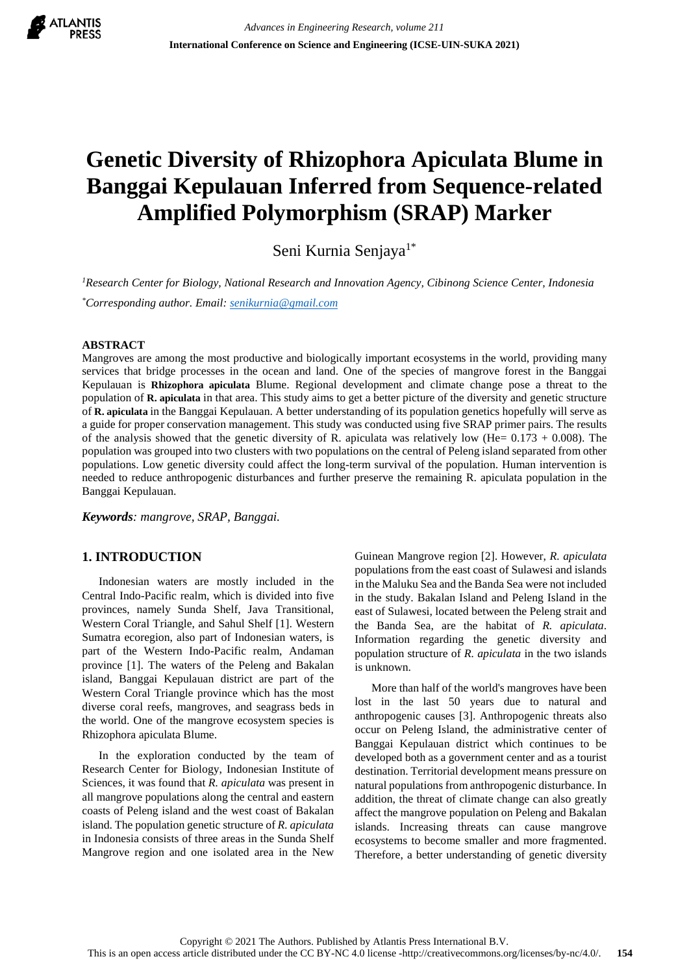

# **Genetic Diversity of Rhizophora Apiculata Blume in Banggai Kepulauan Inferred from Sequence-related Amplified Polymorphism (SRAP) Marker**

Seni Kurnia Senjaya<sup>1\*</sup>

*<sup>1</sup>Research Center for Biology, National Research and Innovation Agency, Cibinong Science Center, Indonesia \*Corresponding author. Email: [senikurnia@gmail.com](mailto:senikurnia@gmail.com)*

## **ABSTRACT**

Mangroves are among the most productive and biologically important ecosystems in the world, providing many services that bridge processes in the ocean and land. One of the species of mangrove forest in the Banggai Kepulauan is **Rhizophora apiculata** Blume. Regional development and climate change pose a threat to the population of **R. apiculata** in that area. This study aims to get a better picture of the diversity and genetic structure of **R. apiculata** in the Banggai Kepulauan. A better understanding of its population genetics hopefully will serve as a guide for proper conservation management. This study was conducted using five SRAP primer pairs. The results of the analysis showed that the genetic diversity of R. apiculata was relatively low (He=  $0.173 + 0.008$ ). The population was grouped into two clusters with two populations on the central of Peleng island separated from other populations. Low genetic diversity could affect the long-term survival of the population. Human intervention is needed to reduce anthropogenic disturbances and further preserve the remaining R. apiculata population in the Banggai Kepulauan.

*Keywords: mangrove, SRAP, Banggai.*

## **1. INTRODUCTION**

Indonesian waters are mostly included in the Central Indo-Pacific realm, which is divided into five provinces, namely Sunda Shelf, Java Transitional, Western Coral Triangle, and Sahul Shelf [1]. Western Sumatra ecoregion, also part of Indonesian waters, is part of the Western Indo-Pacific realm, Andaman province [1]. The waters of the Peleng and Bakalan island, Banggai Kepulauan district are part of the Western Coral Triangle province which has the most diverse coral reefs, mangroves, and seagrass beds in the world. One of the mangrove ecosystem species is Rhizophora apiculata Blume.

In the exploration conducted by the team of Research Center for Biology, Indonesian Institute of Sciences, it was found that *R. apiculata* was present in all mangrove populations along the central and eastern coasts of Peleng island and the west coast of Bakalan island. The population genetic structure of *R. apiculata* in Indonesia consists of three areas in the Sunda Shelf Mangrove region and one isolated area in the New

Guinean Mangrove region [2]. However, *R. apiculata* populations from the east coast of Sulawesi and islands in the Maluku Sea and the Banda Sea were not included in the study. Bakalan Island and Peleng Island in the east of Sulawesi, located between the Peleng strait and the Banda Sea, are the habitat of *R. apiculata*. Information regarding the genetic diversity and population structure of *R. apiculata* in the two islands is unknown.

More than half of the world's mangroves have been lost in the last 50 years due to natural and anthropogenic causes [3]. Anthropogenic threats also occur on Peleng Island, the administrative center of Banggai Kepulauan district which continues to be developed both as a government center and as a tourist destination. Territorial development means pressure on natural populations from anthropogenic disturbance. In addition, the threat of climate change can also greatly affect the mangrove population on Peleng and Bakalan islands. Increasing threats can cause mangrove ecosystems to become smaller and more fragmented. Therefore, a better understanding of genetic diversity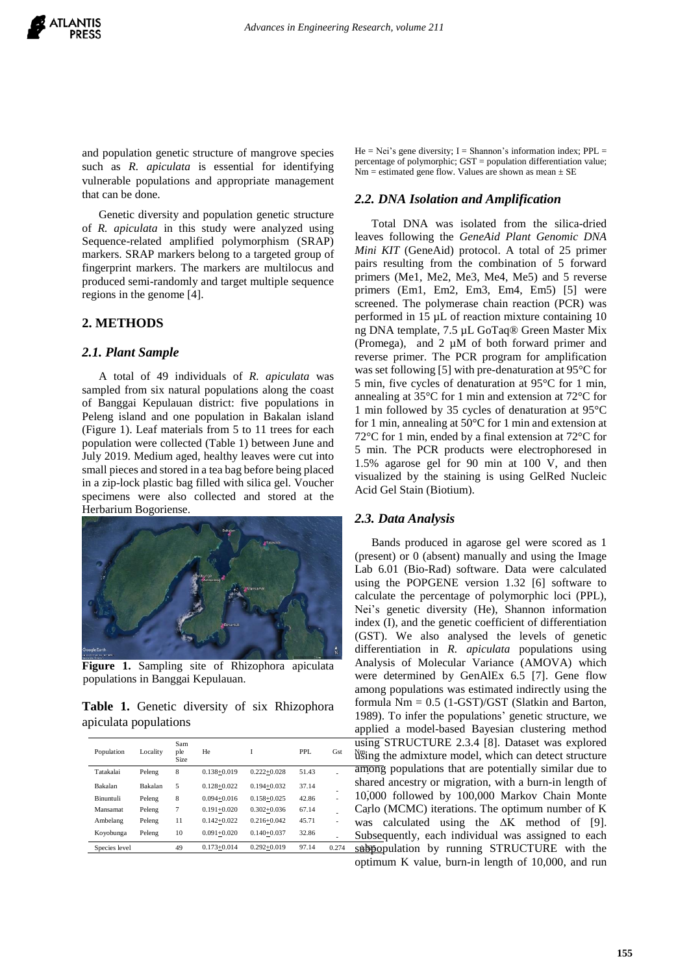and population genetic structure of mangrove species such as *R. apiculata* is essential for identifying vulnerable populations and appropriate management that can be done.

Genetic diversity and population genetic structure of *R. apiculata* in this study were analyzed using Sequence-related amplified polymorphism (SRAP) markers. SRAP markers belong to a targeted group of fingerprint markers. The markers are multilocus and produced semi-randomly and target multiple sequence regions in the genome [4].

## **2. METHODS**

#### *2.1. Plant Sample*

A total of 49 individuals of *R. apiculata* was sampled from six natural populations along the coast of Banggai Kepulauan district: five populations in Peleng island and one population in Bakalan island (Figure 1). Leaf materials from 5 to 11 trees for each population were collected (Table 1) between June and July 2019. Medium aged, healthy leaves were cut into small pieces and stored in a tea bag before being placed in a zip-lock plastic bag filled with silica gel. Voucher specimens were also collected and stored at the Herbarium Bogoriense.



**Figure 1.** Sampling site of Rhizophora apiculata populations in Banggai Kepulauan.

**Table 1.** Genetic diversity of six Rhizophora apiculata populations

| Population    | Locality | Sam<br>ple<br>Size | He              | Ī               | PPI.  | Gst   | usin<br>Nm;n |
|---------------|----------|--------------------|-----------------|-----------------|-------|-------|--------------|
| Tatakalai     | Peleng   | 8                  | $0.138 + 0.019$ | $0.222 + 0.028$ | 51.43 |       | amo          |
| Bakalan       | Bakalan  | 5                  | $0.128 + 0.022$ | $0.194 + 0.032$ | 37.14 |       | shar         |
| Binuntuli     | Peleng   | 8                  | $0.094 + 0.016$ | $0.158 + 0.025$ | 42.86 |       | 10,0         |
| Mansamat      | Peleng   | 7                  | $0.191 + 0.020$ | $0.302 + 0.036$ | 67.14 |       | Carl         |
| Ambelang      | Peleng   | 11                 | $0.142 + 0.022$ | $0.216 + 0.042$ | 45.71 |       | was          |
| Koyobunga     | Peleng   | 10                 | $0.091 + 0.020$ | $0.140 + 0.037$ | 32.86 |       | Subs         |
| Species level |          | 49                 | $0.173 + 0.014$ | $0.292 + 0.019$ | 97.14 | 0.274 | sube         |
|               |          |                    |                 |                 |       |       |              |

 $He = Nei's gene diversity; I = Shannon's information index; PPL =$ percentage of polymorphic; GST = population differentiation value;  $Nm =$  estimated gene flow. Values are shown as mean  $\pm$  SE

#### *2.2. DNA Isolation and Amplification*

Total DNA was isolated from the silica-dried leaves following the *GeneAid Plant Genomic DNA Mini KIT* (GeneAid) protocol. A total of 25 primer pairs resulting from the combination of 5 forward primers (Me1, Me2, Me3, Me4, Me5) and 5 reverse primers (Em1, Em2, Em3, Em4, Em5) [5] were screened. The polymerase chain reaction (PCR) was performed in 15 µL of reaction mixture containing 10 ng DNA template, 7.5 µL [GoTaq®](https://www.promega.com/resources/protocols/product-information-sheets/g/gotaq-green-master-mix-m712-protocol/) Green Master Mix [\(Promega\),](https://www.promega.com/resources/protocols/product-information-sheets/g/gotaq-green-master-mix-m712-protocol/) and 2 µM of both forward primer and reverse primer. The PCR program for amplification was set following [5] with pre-denaturation at 95°C for 5 min, five cycles of denaturation at 95°C for 1 min, annealing at 35°C for 1 min and extension at 72°C for 1 min followed by 35 cycles of denaturation at 95°C for 1 min, annealing at 50°C for 1 min and extension at 72°C for 1 min, ended by a final extension at 72°C for 5 min. The PCR products were electrophoresed in 1.5% agarose gel for 90 min at 100 V, and then visualized by the staining is using GelRed Nucleic Acid Gel Stain (Biotium).

#### *2.3. Data Analysis*

10,000 followed by 100,000 Markov Chain Monte Carlo (MCMC) iterations. The optimum number of K - Subsequently, each individual was assigned to each Bands produced in agarose gel were scored as 1 (present) or 0 (absent) manually and using the Image Lab 6.01 (Bio-Rad) software. Data were calculated using the POPGENE version 1.32 [6] software to calculate the percentage of polymorphic loci (PPL), Nei's genetic diversity (He), Shannon information index (I), and the genetic coefficient of differentiation (GST). We also analysed the levels of genetic differentiation in *R. apiculata* populations using Analysis of Molecular Variance (AMOVA) which were determined by GenAlEx 6.5 [7]. Gene flow among populations was estimated indirectly using the formula  $Nm = 0.5$  (1-GST)/GST (Slatkin and Barton, 1989). To infer the populations' genetic structure, we applied a model-based Bayesian clustering method using STRUCTURE 2.3.4 [8]. Dataset was explored  $\frac{N_{\text{w}}}{N_{\text{w}}}$  the admixture model, which can detect structure among populations that are potentially similar due to shared ancestry or migration, with a burn-in length of was calculated using the ΔK method of [9]. subpopulation by running STRUCTURE with the optimum K value, burn-in length of 10,000, and run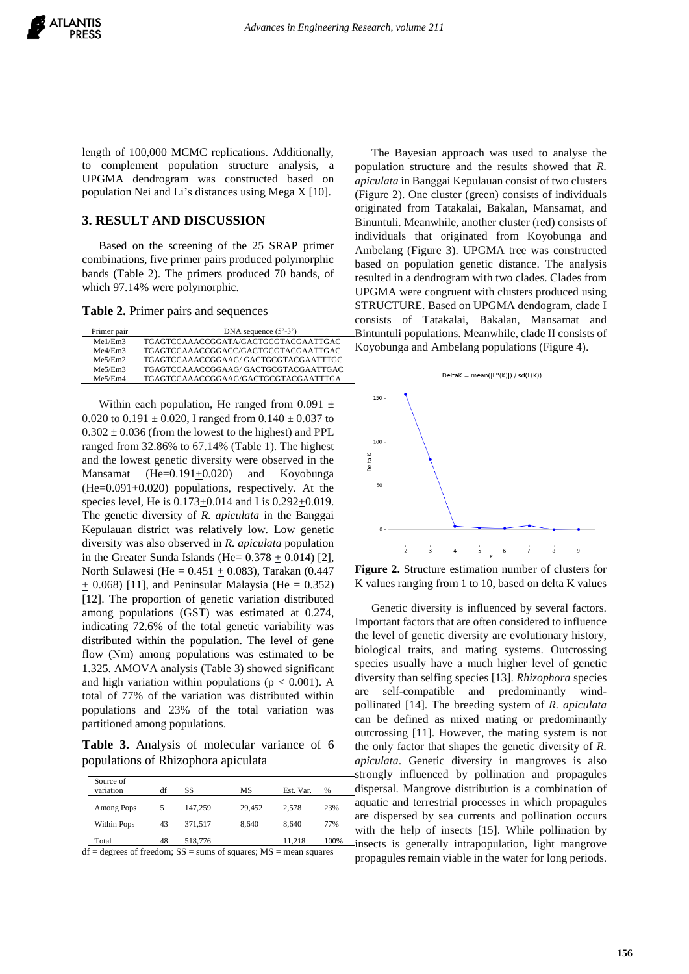length of 100,000 MCMC replications. Additionally, to complement population structure analysis, a UPGMA dendrogram was constructed based on population Nei and Li's distances using Mega X [10].

## **3. RESULT AND DISCUSSION**

Based on the screening of the 25 SRAP primer combinations, five primer pairs produced polymorphic bands (Table 2). The primers produced 70 bands, of which 97.14% were polymorphic.

**Table 2.** Primer pairs and sequences

| Primer pair | DNA sequence $(5^{\circ}-3^{\circ})$ |  |  |  |  |
|-------------|--------------------------------------|--|--|--|--|
| Me1/Em3     | TGAGTCCAAACCGGATA/GACTGCGTACGAATTGAC |  |  |  |  |
| Me4/Em3     | TGAGTCCAAACCGGACC/GACTGCGTACGAATTGAC |  |  |  |  |
| Me5/Em2     | TGAGTCCAAACCGGAAG/GACTGCGTACGAATTTGC |  |  |  |  |
| Me5/Em3     | TGAGTCCAAACCGGAAG/GACTGCGTACGAATTGAC |  |  |  |  |
| Me5/Em4     | TGAGTCCAAACCGGAAG/GACTGCGTACGAATTTGA |  |  |  |  |

Within each population, He ranged from 0.091  $\pm$ 0.020 to 0.191  $\pm$  0.020, I ranged from 0.140  $\pm$  0.037 to  $0.302 \pm 0.036$  (from the lowest to the highest) and PPL ranged from 32.86% to 67.14% (Table 1). The highest and the lowest genetic diversity were observed in the Mansamat  $(He=0.191+0.020)$  and Koyobunga  $(He=0.091+0.020)$  populations, respectively. At the species level, He is  $0.173 \pm 0.014$  and I is  $0.292 \pm 0.019$ . The genetic diversity of *R. apiculata* in the Banggai Kepulauan district was relatively low. Low genetic diversity was also observed in *R. apiculata* population in the Greater Sunda Islands (He=  $0.378 \pm 0.014$ ) [2], North Sulawesi (He =  $0.451 \pm 0.083$ ), Tarakan (0.447  $\pm$  0.068) [11], and Peninsular Malaysia (He = 0.352) [12]. The proportion of genetic variation distributed among populations (GST) was estimated at 0.274, indicating 72.6% of the total genetic variability was distributed within the population. The level of gene flow (Nm) among populations was estimated to be 1.325. AMOVA analysis (Table 3) showed significant and high variation within populations ( $p < 0.001$ ). A total of 77% of the variation was distributed within populations and 23% of the total variation was partitioned among populations.

**Table 3.** Analysis of molecular variance of 6 populations of Rhizophora apiculata

| Source of<br>variation | df | SS              | MS     | Est. Var. | %    |
|------------------------|----|-----------------|--------|-----------|------|
| Among Pops             | 5  | 147.259         | 29,452 | 2.578     | 23%  |
| <b>Within Pops</b>     | 43 | 371.517         | 8.640  | 8.640     | 77%  |
| Total<br>$ -$          | 48 | 518,776<br>---- | $\sim$ | 11.218    | 100% |

 $df =$  degrees of freedom;  $SS =$  sums of squares;  $MS =$  mean squares

The Bayesian approach was used to analyse the population structure and the results showed that *R. apiculata* in Banggai Kepulauan consist of two clusters (Figure 2). One cluster (green) consists of individuals originated from Tatakalai, Bakalan, Mansamat, and Binuntuli. Meanwhile, another cluster (red) consists of individuals that originated from Koyobunga and Ambelang (Figure 3). UPGMA tree was constructed based on population genetic distance. The analysis resulted in a dendrogram with two clades. Clades from UPGMA were congruent with clusters produced using STRUCTURE. Based on UPGMA dendogram, clade I consists of Tatakalai, Bakalan, Mansamat and Bintuntuli populations. Meanwhile, clade II consists of Koyobunga and Ambelang populations (Figure 4).



**Figure 2.** Structure estimation number of clusters for K values ranging from 1 to 10, based on delta K values

Genetic diversity is influenced by several factors. Important factors that are often considered to influence the level of genetic diversity are evolutionary history, biological traits, and mating systems. Outcrossing species usually have a much higher level of genetic diversity than selfing species [13]. *Rhizophora* species self-compatible and predominantly windpollinated [14]. The breeding system of *R. apiculata* can be defined as mixed mating or predominantly outcrossing [11]. However, the mating system is not the only factor that shapes the genetic diversity of *R. apiculata*. Genetic diversity in mangroves is also strongly influenced by pollination and propagules dispersal. Mangrove distribution is a combination of aquatic and terrestrial processes in which propagules are dispersed by sea currents and pollination occurs with the help of insects [15]. While pollination by insects is generally intrapopulation, light mangrove propagules remain viable in the water for long periods.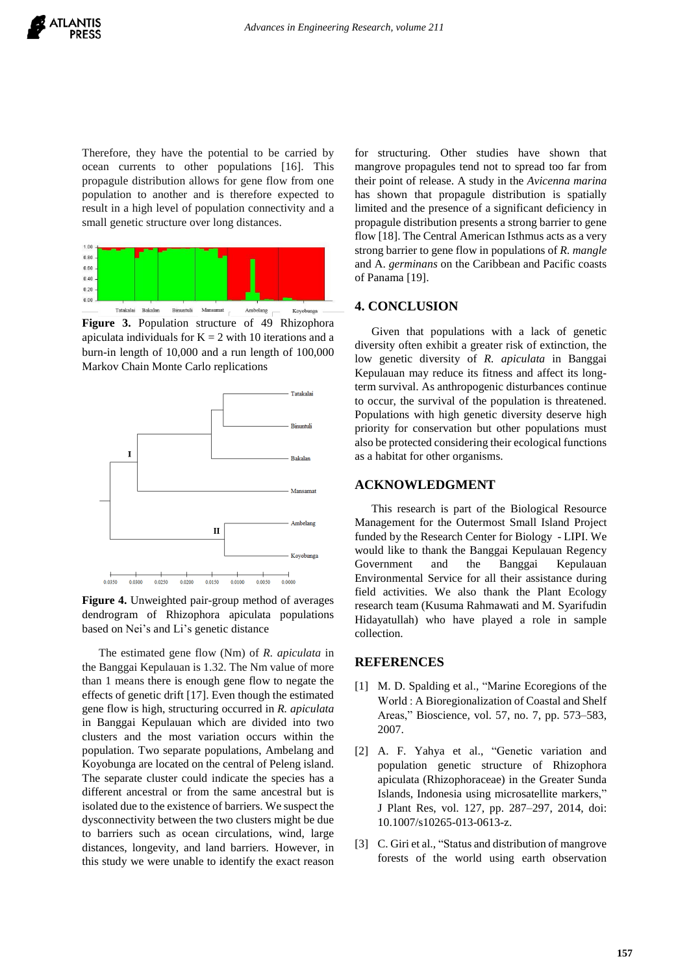Therefore, they have the potential to be carried by ocean currents to other populations [16]. This propagule distribution allows for gene flow from one population to another and is therefore expected to result in a high level of population connectivity and a small genetic structure over long distances.



**Figure 3.** Population structure of 49 Rhizophora apiculata individuals for  $K = 2$  with 10 iterations and a burn-in length of 10,000 and a run length of 100,000 Markov Chain Monte Carlo replications



**Figure 4.** Unweighted pair-group method of averages dendrogram of Rhizophora apiculata populations based on Nei's and Li's genetic distance

The estimated gene flow (Nm) of *R. apiculata* in the Banggai Kepulauan is 1.32. The Nm value of more than 1 means there is enough gene flow to negate the effects of genetic drift [17]. Even though the estimated gene flow is high, structuring occurred in *R. apiculata* in Banggai Kepulauan which are divided into two clusters and the most variation occurs within the population. Two separate populations, Ambelang and Koyobunga are located on the central of Peleng island. The separate cluster could indicate the species has a different ancestral or from the same ancestral but is isolated due to the existence of barriers. We suspect the dysconnectivity between the two clusters might be due to barriers such as ocean circulations, wind, large distances, longevity, and land barriers. However, in this study we were unable to identify the exact reason

for structuring. Other studies have shown that mangrove propagules tend not to spread too far from their point of release. A study in the *Avicenna marina* has shown that propagule distribution is spatially limited and the presence of a significant deficiency in propagule distribution presents a strong barrier to gene flow [18]. The Central American Isthmus acts as a very strong barrier to gene flow in populations of *R. mangle* and A. *germinans* on the Caribbean and Pacific coasts of Panama [19].

## **4. CONCLUSION**

Given that populations with a lack of genetic diversity often exhibit a greater risk of extinction, the low genetic diversity of *R. apiculata* in Banggai Kepulauan may reduce its fitness and affect its longterm survival. As anthropogenic disturbances continue to occur, the survival of the population is threatened. Populations with high genetic diversity deserve high priority for conservation but other populations must also be protected considering their ecological functions as a habitat for other organisms.

#### **ACKNOWLEDGMENT**

This research is part of the Biological Resource Management for the Outermost Small Island Project funded by the Research Center for Biology - LIPI. We would like to thank the Banggai Kepulauan Regency Government and the Banggai Kepulauan Environmental Service for all their assistance during field activities. We also thank the Plant Ecology research team (Kusuma Rahmawati and M. Syarifudin Hidayatullah) who have played a role in sample collection.

#### **REFERENCES**

- [1] M. D. Spalding et al., "Marine Ecoregions of the World : A Bioregionalization of Coastal and Shelf Areas," Bioscience, vol. 57, no. 7, pp. 573–583, 2007.
- [2] A. F. Yahya et al., "Genetic variation and population genetic structure of Rhizophora apiculata (Rhizophoraceae) in the Greater Sunda Islands, Indonesia using microsatellite markers," J Plant Res, vol. 127, pp. 287–297, 2014, doi: 10.1007/s10265-013-0613-z.
- [3] C. Giri et al., "Status and distribution of mangrove forests of the world using earth observation